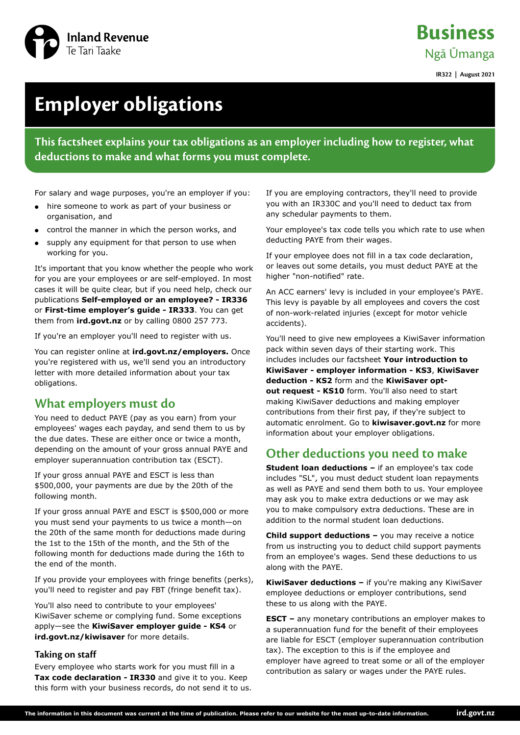

**Business** Ngā Ūmanga

**IR322 | August 2021**

# **Employer obligations**

**This factsheet explains your tax obligations as an employer including how to register, what deductions to make and what forms you must complete.**

For salary and wage purposes, you're an employer if you:

- hire someone to work as part of your business or organisation, and
- control the manner in which the person works, and
- supply any equipment for that person to use when working for you.

It's important that you know whether the people who work for you are your employees or are self-employed. In most cases it will be quite clear, but if you need help, check our publications **Self-employed or an employee? - IR336** or **First-time employer's guide - IR333**. You can get them from **[ird.govt.nz](http://ird.govt.nz)** or by calling 0800 257 773.

If you're an employer you'll need to register with us.

You can register online at **[ird.govt.nz/employers.](http://ird.govt.nz/employers)** Once you're registered with us, we'll send you an introductory letter with more detailed information about your tax obligations.

## **What employers must do**

You need to deduct PAYE (pay as you earn) from your employees' wages each payday, and send them to us by the due dates. These are either once or twice a month, depending on the amount of your gross annual PAYE and employer superannuation contribution tax (ESCT).

If your gross annual PAYE and ESCT is less than \$500,000, your payments are due by the 20th of the following month.

If your gross annual PAYE and ESCT is \$500,000 or more you must send your payments to us twice a month—on the 20th of the same month for deductions made during the 1st to the 15th of the month, and the 5th of the following month for deductions made during the 16th to the end of the month.

If you provide your employees with fringe benefits (perks), you'll need to register and pay FBT (fringe benefit tax).

You'll also need to contribute to your employees' KiwiSaver scheme or complying fund. Some exceptions apply—see the **KiwiSaver employer guide - KS4** or **[ird.govt.nz/kiwisaver](http://ird.govt.nz/kiwisaver)** for more details.

## **Taking on staff**

Every employee who starts work for you must fill in a **Tax code declaration - IR330** and give it to you. Keep this form with your business records, do not send it to us.

If you are employing contractors, they'll need to provide you with an IR330C and you'll need to deduct tax from any schedular payments to them.

Your employee's tax code tells you which rate to use when deducting PAYE from their wages.

If your employee does not fill in a tax code declaration, or leaves out some details, you must deduct PAYE at the higher "non-notified" rate.

An ACC earners' levy is included in your employee's PAYE. This levy is payable by all employees and covers the cost of non-work-related injuries (except for motor vehicle accidents).

You'll need to give new employees a KiwiSaver information pack within seven days of their starting work. This includes includes our factsheet **Your introduction to KiwiSaver - employer information - KS3**, **KiwiSaver deduction - KS2** form and the **KiwiSaver optout request - KS10** form. You'll also need to start making KiwiSaver deductions and making employer contributions from their first pay, if they're subject to automatic enrolment. Go to **[kiwisaver.govt.nz](http://kiwisaver.govt.nz)** for more information about your employer obligations.

# **Other deductions you need to make**

**Student loan deductions –** if an employee's tax code includes "SL", you must deduct student loan repayments as well as PAYE and send them both to us. Your employee may ask you to make extra deductions or we may ask you to make compulsory extra deductions. These are in addition to the normal student loan deductions.

**Child support deductions –** you may receive a notice from us instructing you to deduct child support payments from an employee's wages. Send these deductions to us along with the PAYE.

**KiwiSaver deductions –** if you're making any KiwiSaver employee deductions or employer contributions, send these to us along with the PAYE.

**ESCT** – any monetary contributions an employer makes to a superannuation fund for the benefit of their employees are liable for ESCT (employer superannuation contribution tax). The exception to this is if the employee and employer have agreed to treat some or all of the employer contribution as salary or wages under the PAYE rules.